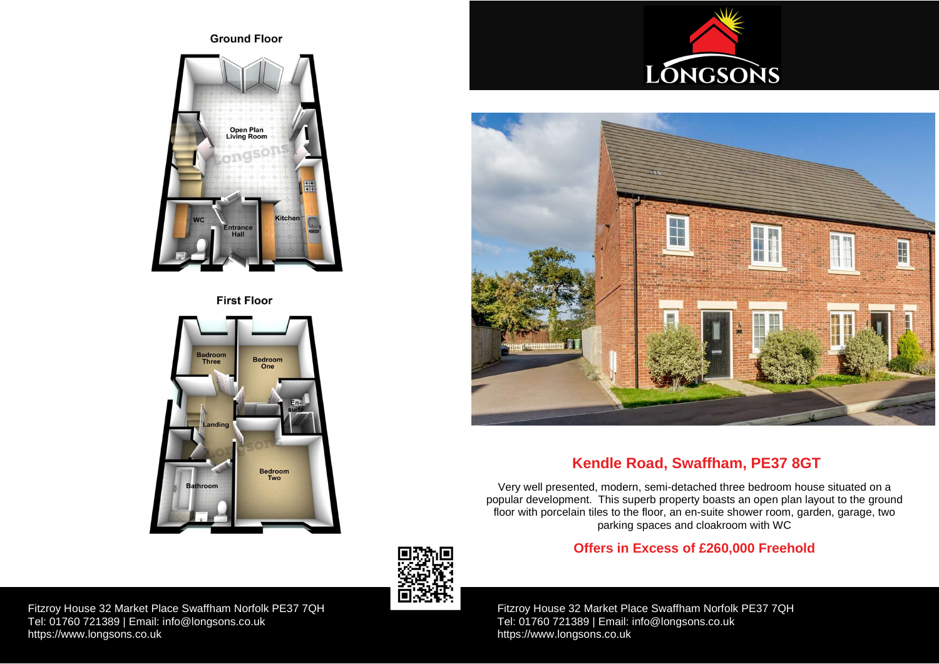



**First Floor** 







Fitzroy House 32 Market Place Swaffham Norfolk PE37 7QH Tel: 01760 721389 | Email: [info@longsons.co.uk](mailto:info@longsons.co.uk) <https://www.longsons.co.uk>

Fitzroy House 32 Market Place Swaffham Norfolk PE37 7QH Tel: 01760 721389 | Email: [info@longsons.co.uk](mailto:info@longsons.co.uk) <https://www.longsons.co.uk>

# **Kendle Road, Swaffham, PE37 8GT**

Very well presented, modern, semi-detached three bedroom house situated on a popular development. This superb property boasts an open plan layout to the ground floor with porcelain tiles to the floor, an en-suite shower room, garden, garage, two parking spaces and cloakroom with WC

# **Offers in Excess of £260,000 Freehold**